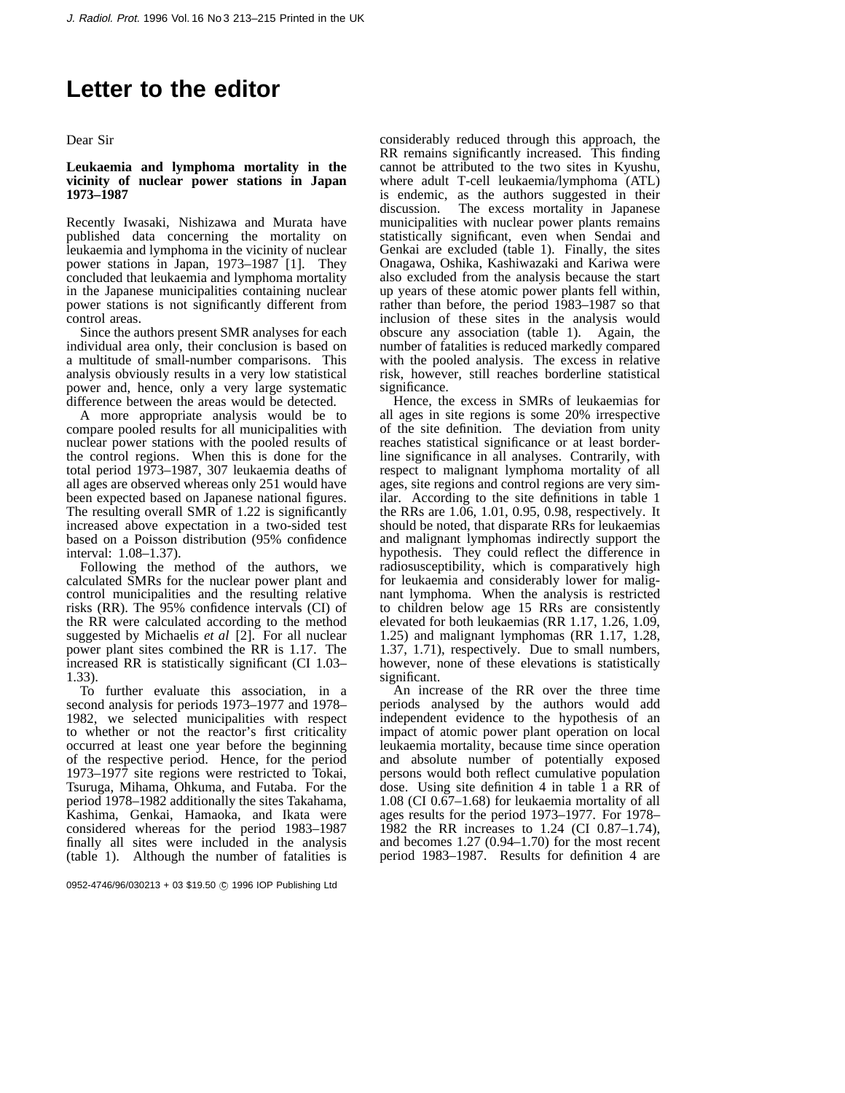# **Letter to the editor**

Dear Sir

# **Leukaemia and lymphoma mortality in the vicinity of nuclear power stations in Japan 1973–1987**

Recently Iwasaki, Nishizawa and Murata have published data concerning the mortality on leukaemia and lymphoma in the vicinity of nuclear power stations in Japan, 1973–1987 [1]. They concluded that leukaemia and lymphoma mortality in the Japanese municipalities containing nuclear power stations is not significantly different from control areas.

Since the authors present SMR analyses for each individual area only, their conclusion is based on a multitude of small-number comparisons. This analysis obviously results in a very low statistical power and, hence, only a very large systematic difference between the areas would be detected.

A more appropriate analysis would be to compare pooled results for all municipalities with nuclear power stations with the pooled results of the control regions. When this is done for the total period 1973–1987, 307 leukaemia deaths of all ages are observed whereas only 251 would have been expected based on Japanese national figures. The resulting overall SMR of 1.22 is significantly increased above expectation in a two-sided test based on a Poisson distribution (95% confidence interval: 1.08–1.37).

Following the method of the authors, we calculated SMRs for the nuclear power plant and control municipalities and the resulting relative risks (RR). The 95% confidence intervals (CI) of the RR were calculated according to the method suggested by Michaelis *et al* [2]. For all nuclear power plant sites combined the RR is 1.17. The increased RR is statistically significant (CI 1.03– 1.33).

To further evaluate this association, in a second analysis for periods 1973–1977 and 1978– 1982, we selected municipalities with respect to whether or not the reactor's first criticality occurred at least one year before the beginning of the respective period. Hence, for the period 1973–1977 site regions were restricted to Tokai, Tsuruga, Mihama, Ohkuma, and Futaba. For the period 1978–1982 additionally the sites Takahama, Kashima, Genkai, Hamaoka, and Ikata were considered whereas for the period 1983–1987 finally all sites were included in the analysis (table 1). Although the number of fatalities is

0952-4746/96/030213 + 03 \$19.50 (C) 1996 IOP Publishing Ltd

considerably reduced through this approach, the RR remains significantly increased. This finding cannot be attributed to the two sites in Kyushu, where adult T-cell leukaemia/lymphoma (ATL) is endemic, as the authors suggested in their discussion. The excess mortality in Japanese municipalities with nuclear power plants remains statistically significant, even when Sendai and Genkai are excluded (table 1). Finally, the sites Onagawa, Oshika, Kashiwazaki and Kariwa were also excluded from the analysis because the start up years of these atomic power plants fell within, rather than before, the period 1983–1987 so that inclusion of these sites in the analysis would obscure any association (table 1). Again, the number of fatalities is reduced markedly compared with the pooled analysis. The excess in relative risk, however, still reaches borderline statistical significance.

Hence, the excess in SMRs of leukaemias for all ages in site regions is some 20% irrespective of the site definition. The deviation from unity reaches statistical significance or at least borderline significance in all analyses. Contrarily, with respect to malignant lymphoma mortality of all ages, site regions and control regions are very similar. According to the site definitions in table 1 the RRs are 1.06, 1.01, 0.95, 0.98, respectively. It should be noted, that disparate RRs for leukaemias and malignant lymphomas indirectly support the hypothesis. They could reflect the difference in radiosusceptibility, which is comparatively high for leukaemia and considerably lower for malignant lymphoma. When the analysis is restricted to children below age 15 RRs are consistently elevated for both leukaemias (RR 1.17, 1.26, 1.09, 1.25) and malignant lymphomas (RR 1.17, 1.28, 1.37, 1.71), respectively. Due to small numbers, however, none of these elevations is statistically significant.

An increase of the RR over the three time periods analysed by the authors would add independent evidence to the hypothesis of an impact of atomic power plant operation on local leukaemia mortality, because time since operation and absolute number of potentially exposed persons would both reflect cumulative population dose. Using site definition 4 in table  $\overline{1}$  a RR of 1.08 (CI 0.67–1.68) for leukaemia mortality of all ages results for the period 1973–1977. For 1978– 1982 the RR increases to 1.24 (CI 0.87–1.74), and becomes 1.27 (0.94–1.70) for the most recent period 1983–1987. Results for definition 4 are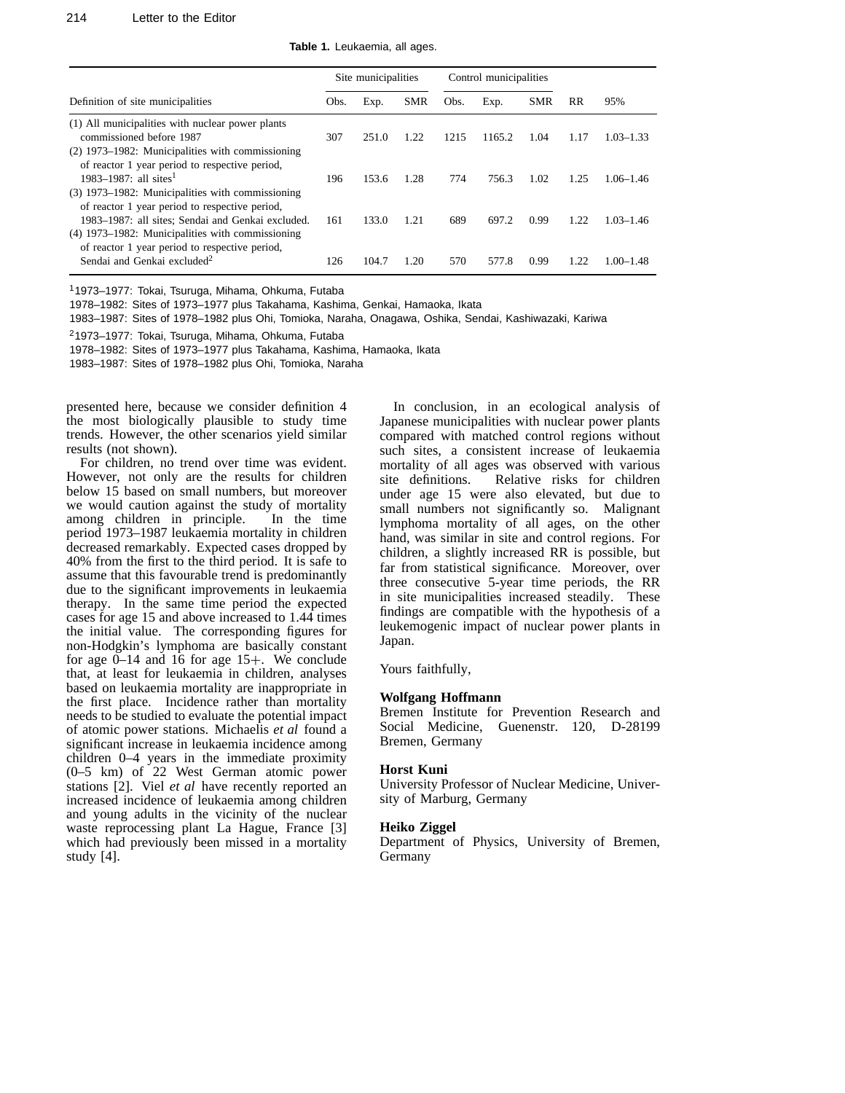### 214 Letter to the Editor

**Table 1.** Leukaemia, all ages.

|                                                                                                         | Site municipalities |       |            | Control municipalities |        |            |           |               |
|---------------------------------------------------------------------------------------------------------|---------------------|-------|------------|------------------------|--------|------------|-----------|---------------|
| Definition of site municipalities                                                                       | Obs.                | Exp.  | <b>SMR</b> | Obs.                   | Exp.   | <b>SMR</b> | <b>RR</b> | 95%           |
| (1) All municipalities with nuclear power plants<br>commissioned before 1987                            | 307                 | 251.0 | 1.22       | 1215                   | 1165.2 | 1.04       | 1.17      | $1.03 - 1.33$ |
| $(2)$ 1973–1982: Municipalities with commissioning                                                      |                     |       |            |                        |        |            |           |               |
| of reactor 1 year period to respective period,<br>$1983 - 1987$ all sites <sup>1</sup>                  | 196                 | 153.6 | 1.28       | 774                    | 756.3  | 1.02       | 1.25      | $1.06 - 1.46$ |
| (3) 1973–1982: Municipalities with commissioning<br>of reactor 1 year period to respective period,      |                     |       |            |                        |        |            |           |               |
| 1983–1987: all sites; Sendai and Genkai excluded.<br>$(4)$ 1973–1982: Municipalities with commissioning | 161                 | 133.0 | 1.21       | 689                    | 697.2  | 0.99       | 1.22      | $1.03 - 1.46$ |
| of reactor 1 year period to respective period,<br>Sendai and Genkai excluded <sup>2</sup>               | 126                 | 104.7 | 1.20       | 570                    | 577.8  | 0.99       | 1.22      | $1.00 - 1.48$ |

11973–1977: Tokai, Tsuruga, Mihama, Ohkuma, Futaba

1978–1982: Sites of 1973–1977 plus Takahama, Kashima, Genkai, Hamaoka, Ikata

1983–1987: Sites of 1978–1982 plus Ohi, Tomioka, Naraha, Onagawa, Oshika, Sendai, Kashiwazaki, Kariwa

21973–1977: Tokai, Tsuruga, Mihama, Ohkuma, Futaba

1978–1982: Sites of 1973–1977 plus Takahama, Kashima, Hamaoka, Ikata

1983–1987: Sites of 1978–1982 plus Ohi, Tomioka, Naraha

presented here, because we consider definition 4 the most biologically plausible to study time trends. However, the other scenarios yield similar results (not shown).

For children, no trend over time was evident. However, not only are the results for children below 15 based on small numbers, but moreover we would caution against the study of mortality among children in principle. In the time period 1973–1987 leukaemia mortality in children decreased remarkably. Expected cases dropped by 40% from the first to the third period. It is safe to assume that this favourable trend is predominantly due to the significant improvements in leukaemia therapy. In the same time period the expected cases for age 15 and above increased to 1.44 times the initial value. The corresponding figures for non-Hodgkin's lymphoma are basically constant for age 0–14 and 16 for age 15+. We conclude that, at least for leukaemia in children, analyses based on leukaemia mortality are inappropriate in the first place. Incidence rather than mortality needs to be studied to evaluate the potential impact of atomic power stations. Michaelis *et al* found a significant increase in leukaemia incidence among children 0–4 years in the immediate proximity (0–5 km) of 22 West German atomic power stations [2]. Viel *et al* have recently reported an increased incidence of leukaemia among children and young adults in the vicinity of the nuclear waste reprocessing plant La Hague, France [3] which had previously been missed in a mortality study [4].

In conclusion, in an ecological analysis of Japanese municipalities with nuclear power plants compared with matched control regions without such sites, a consistent increase of leukaemia mortality of all ages was observed with various site definitions. Relative risks for children under age 15 were also elevated, but due to small numbers not significantly so. Malignant lymphoma mortality of all ages, on the other hand, was similar in site and control regions. For children, a slightly increased RR is possible, but far from statistical significance. Moreover, over three consecutive 5-year time periods, the RR in site municipalities increased steadily. These findings are compatible with the hypothesis of a leukemogenic impact of nuclear power plants in Japan.

Yours faithfully,

#### **Wolfgang Hoffmann**

Bremen Institute for Prevention Research and<br>Social Medicine, Guenenstr. 120, D-28199 Guenenstr. 120, D-28199 Bremen, Germany

## **Horst Kuni**

University Professor of Nuclear Medicine, University of Marburg, Germany

# **Heiko Ziggel**

Department of Physics, University of Bremen, Germany